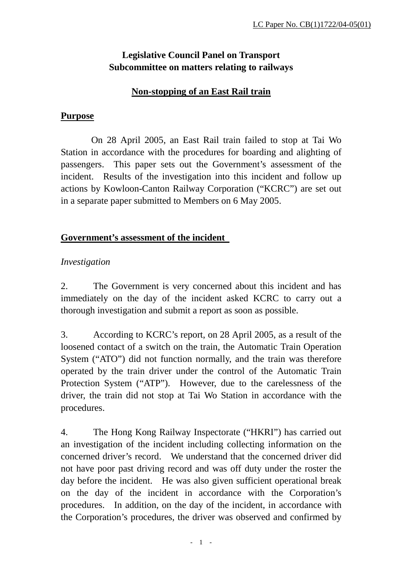# **Legislative Council Panel on Transport Subcommittee on matters relating to railways**

#### **Non-stopping of an East Rail train**

#### **Purpose**

 On 28 April 2005, an East Rail train failed to stop at Tai Wo Station in accordance with the procedures for boarding and alighting of passengers. This paper sets out the Government's assessment of the incident. Results of the investigation into this incident and follow up actions by Kowloon-Canton Railway Corporation ("KCRC") are set out in a separate paper submitted to Members on 6 May 2005.

# **Government's assessment of the incident**

# *Investigation*

2. The Government is very concerned about this incident and has immediately on the day of the incident asked KCRC to carry out a thorough investigation and submit a report as soon as possible.

3. According to KCRC's report, on 28 April 2005, as a result of the loosened contact of a switch on the train, the Automatic Train Operation System ("ATO") did not function normally, and the train was therefore operated by the train driver under the control of the Automatic Train Protection System ("ATP"). However, due to the carelessness of the driver, the train did not stop at Tai Wo Station in accordance with the procedures.

4. The Hong Kong Railway Inspectorate ("HKRI") has carried out an investigation of the incident including collecting information on the concerned driver's record. We understand that the concerned driver did not have poor past driving record and was off duty under the roster the day before the incident. He was also given sufficient operational break on the day of the incident in accordance with the Corporation's procedures. In addition, on the day of the incident, in accordance with the Corporation's procedures, the driver was observed and confirmed by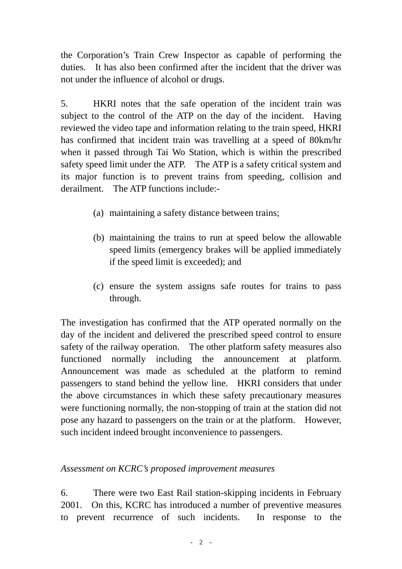the Corporation's Train Crew Inspector as capable of performing the duties. It has also been confirmed after the incident that the driver was not under the influence of alcohol or drugs.

5. HKRI notes that the safe operation of the incident train was subject to the control of the ATP on the day of the incident. Having reviewed the video tape and information relating to the train speed, HKRI has confirmed that incident train was travelling at a speed of 80km/hr when it passed through Tai Wo Station, which is within the prescribed safety speed limit under the ATP. The ATP is a safety critical system and its major function is to prevent trains from speeding, collision and derailment. The ATP functions include:-

- (a) maintaining a safety distance between trains;
- (b) maintaining the trains to run at speed below the allowable speed limits (emergency brakes will be applied immediately if the speed limit is exceeded); and
- (c) ensure the system assigns safe routes for trains to pass through.

The investigation has confirmed that the ATP operated normally on the day of the incident and delivered the prescribed speed control to ensure safety of the railway operation. The other platform safety measures also functioned normally including the announcement at platform. Announcement was made as scheduled at the platform to remind passengers to stand behind the yellow line. HKRI considers that under the above circumstances in which these safety precautionary measures were functioning normally, the non-stopping of train at the station did not pose any hazard to passengers on the train or at the platform. However, such incident indeed brought inconvenience to passengers.

#### *Assessment on KCRC's proposed improvement measures*

6. There were two East Rail station-skipping incidents in February 2001. On this, KCRC has introduced a number of preventive measures to prevent recurrence of such incidents. In response to the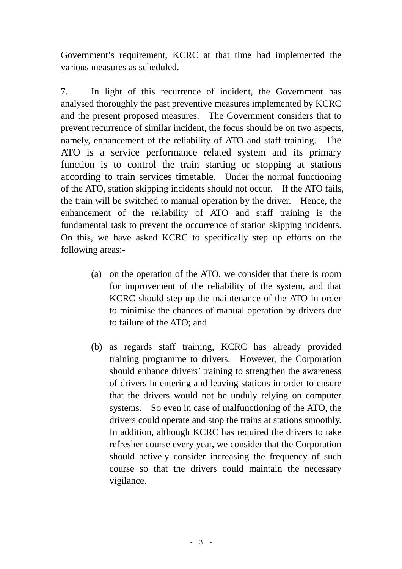Government's requirement, KCRC at that time had implemented the various measures as scheduled.

7. In light of this recurrence of incident, the Government has analysed thoroughly the past preventive measures implemented by KCRC and the present proposed measures. The Government considers that to prevent recurrence of similar incident, the focus should be on two aspects, namely, enhancement of the reliability of ATO and staff training. The ATO is a service performance related system and its primary function is to control the train starting or stopping at stations according to train services timetable. Under the normal functioning of the ATO, station skipping incidents should not occur. If the ATO fails, the train will be switched to manual operation by the driver. Hence, the enhancement of the reliability of ATO and staff training is the fundamental task to prevent the occurrence of station skipping incidents. On this, we have asked KCRC to specifically step up efforts on the following areas:-

- (a) on the operation of the ATO, we consider that there is room for improvement of the reliability of the system, and that KCRC should step up the maintenance of the ATO in order to minimise the chances of manual operation by drivers due to failure of the ATO; and
- (b) as regards staff training, KCRC has already provided training programme to drivers. However, the Corporation should enhance drivers' training to strengthen the awareness of drivers in entering and leaving stations in order to ensure that the drivers would not be unduly relying on computer systems. So even in case of malfunctioning of the ATO, the drivers could operate and stop the trains at stations smoothly. In addition, although KCRC has required the drivers to take refresher course every year, we consider that the Corporation should actively consider increasing the frequency of such course so that the drivers could maintain the necessary vigilance.